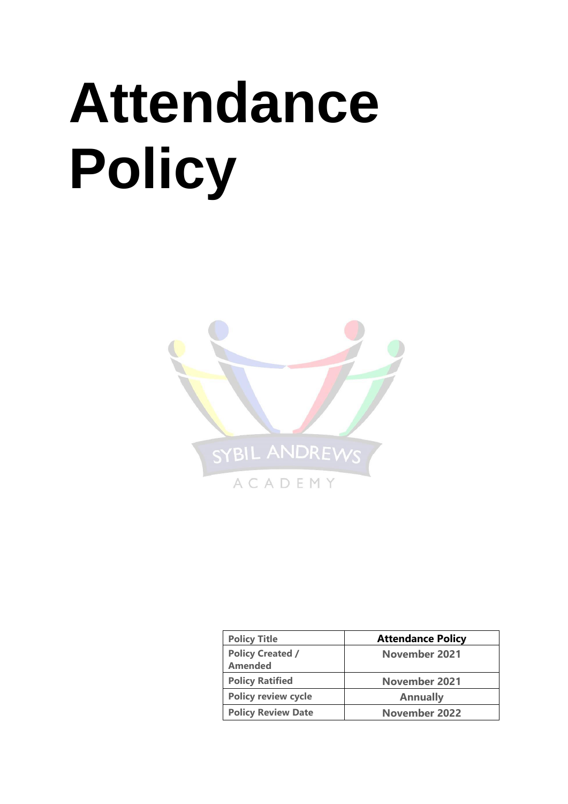# **Attendance Policy**



| <b>Policy Title</b>                       | <b>Attendance Policy</b> |  |
|-------------------------------------------|--------------------------|--|
| <b>Policy Created /</b><br><b>Amended</b> | November 2021            |  |
| <b>Policy Ratified</b>                    | <b>November 2021</b>     |  |
| <b>Policy review cycle</b>                | <b>Annually</b>          |  |
| <b>Policy Review Date</b>                 | <b>November 2022</b>     |  |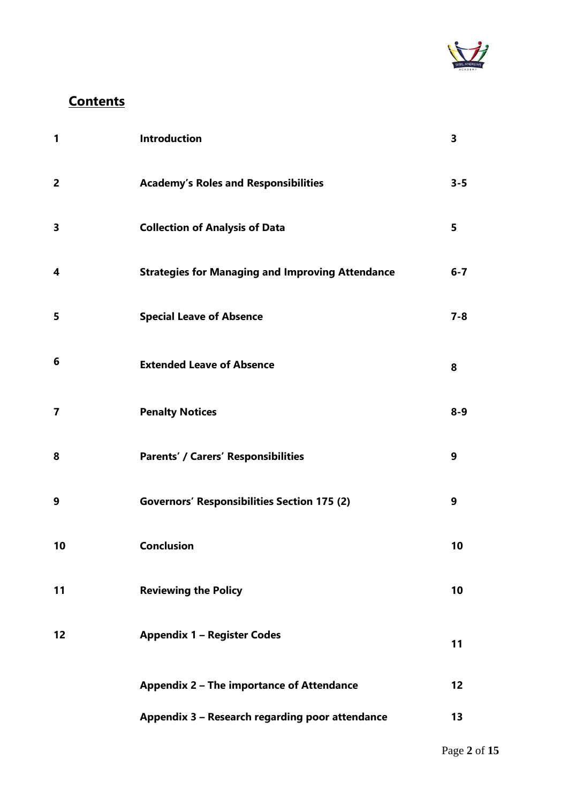

# **Contents**

| 1              | <b>Introduction</b>                                     | 3       |
|----------------|---------------------------------------------------------|---------|
| $\overline{2}$ | <b>Academy's Roles and Responsibilities</b>             | $3 - 5$ |
| 3              | <b>Collection of Analysis of Data</b>                   | 5       |
| 4              | <b>Strategies for Managing and Improving Attendance</b> | $6-7$   |
| 5              | <b>Special Leave of Absence</b>                         | $7 - 8$ |
| 6              | <b>Extended Leave of Absence</b>                        | 8       |
| 7              | <b>Penalty Notices</b>                                  | $8 - 9$ |
| 8              | <b>Parents' / Carers' Responsibilities</b>              | 9       |
| 9              | <b>Governors' Responsibilities Section 175 (2)</b>      | 9       |
| 10             | <b>Conclusion</b>                                       | 10      |
| 11             | <b>Reviewing the Policy</b>                             | 10      |
| 12             | <b>Appendix 1 - Register Codes</b>                      | 11      |
|                | Appendix 2 - The importance of Attendance               | 12      |
|                | Appendix 3 - Research regarding poor attendance         | 13      |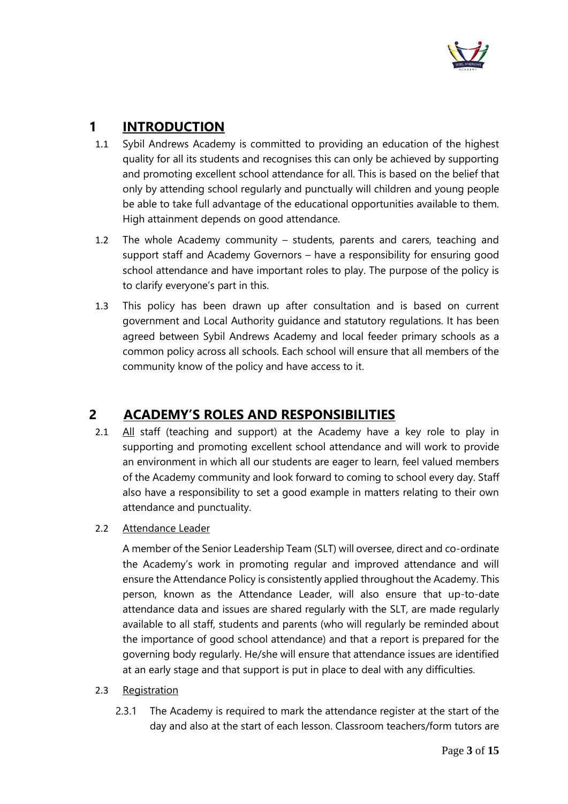

# **1 INTRODUCTION**

- 1.1 Sybil Andrews Academy is committed to providing an education of the highest quality for all its students and recognises this can only be achieved by supporting and promoting excellent school attendance for all. This is based on the belief that only by attending school regularly and punctually will children and young people be able to take full advantage of the educational opportunities available to them. High attainment depends on good attendance.
- 1.2 The whole Academy community students, parents and carers, teaching and support staff and Academy Governors – have a responsibility for ensuring good school attendance and have important roles to play. The purpose of the policy is to clarify everyone's part in this.
- 1.3 This policy has been drawn up after consultation and is based on current government and Local Authority guidance and statutory regulations. It has been agreed between Sybil Andrews Academy and local feeder primary schools as a common policy across all schools. Each school will ensure that all members of the community know of the policy and have access to it.

## **2 ACADEMY'S ROLES AND RESPONSIBILITIES**

- 2.1 All staff (teaching and support) at the Academy have a key role to play in supporting and promoting excellent school attendance and will work to provide an environment in which all our students are eager to learn, feel valued members of the Academy community and look forward to coming to school every day. Staff also have a responsibility to set a good example in matters relating to their own attendance and punctuality.
- 2.2 Attendance Leader

A member of the Senior Leadership Team (SLT) will oversee, direct and co-ordinate the Academy's work in promoting regular and improved attendance and will ensure the Attendance Policy is consistently applied throughout the Academy. This person, known as the Attendance Leader, will also ensure that up-to-date attendance data and issues are shared regularly with the SLT, are made regularly available to all staff, students and parents (who will regularly be reminded about the importance of good school attendance) and that a report is prepared for the governing body regularly. He/she will ensure that attendance issues are identified at an early stage and that support is put in place to deal with any difficulties.

#### 2.3 Registration

2.3.1 The Academy is required to mark the attendance register at the start of the day and also at the start of each lesson. Classroom teachers/form tutors are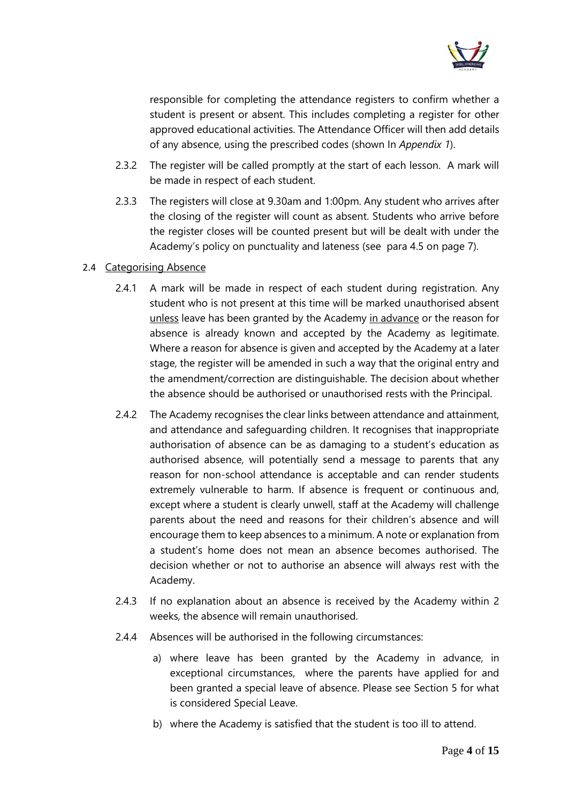

responsible for completing the attendance registers to confirm whether a student is present or absent. This includes completing a register for other approved educational activities. The Attendance Officer will then add details of any absence, using the prescribed codes (shown In *Appendix 1*).

- 2.3.2 The register will be called promptly at the start of each lesson. A mark will be made in respect of each student.
- <span id="page-3-0"></span>2.3.3 The registers will close at 9.30am and 1:00pm. Any student who arrives after the closing of the register will count as absent. Students who arrive before the register closes will be counted present but will be dealt with under the Academy's policy on punctuality and lateness (see par[a 4.5](#page-6-0) on page [7\)](#page-6-0).

#### 2.4 Categorising Absence

- 2.4.1 A mark will be made in respect of each student during registration. Any student who is not present at this time will be marked unauthorised absent unless leave has been granted by the Academy in advance or the reason for absence is already known and accepted by the Academy as legitimate. Where a reason for absence is given and accepted by the Academy at a later stage, the register will be amended in such a way that the original entry and the amendment/correction are distinguishable. The decision about whether the absence should be authorised or unauthorised rests with the Principal.
- 2.4.2 The Academy recognises the clear links between attendance and attainment, and attendance and safeguarding children. It recognises that inappropriate authorisation of absence can be as damaging to a student's education as authorised absence, will potentially send a message to parents that any reason for non-school attendance is acceptable and can render students extremely vulnerable to harm. If absence is frequent or continuous and, except where a student is clearly unwell, staff at the Academy will challenge parents about the need and reasons for their children's absence and will encourage them to keep absences to a minimum. A note or explanation from a student's home does not mean an absence becomes authorised. The decision whether or not to authorise an absence will always rest with the Academy.
- 2.4.3 If no explanation about an absence is received by the Academy within 2 weeks, the absence will remain unauthorised.
- 2.4.4 Absences will be authorised in the following circumstances:
	- a) where leave has been granted by the Academy in advance, in exceptional circumstances, where the parents have applied for and been granted a special leave of absence. Please see Section 5 for what is considered Special Leave.
	- b) where the Academy is satisfied that the student is too ill to attend.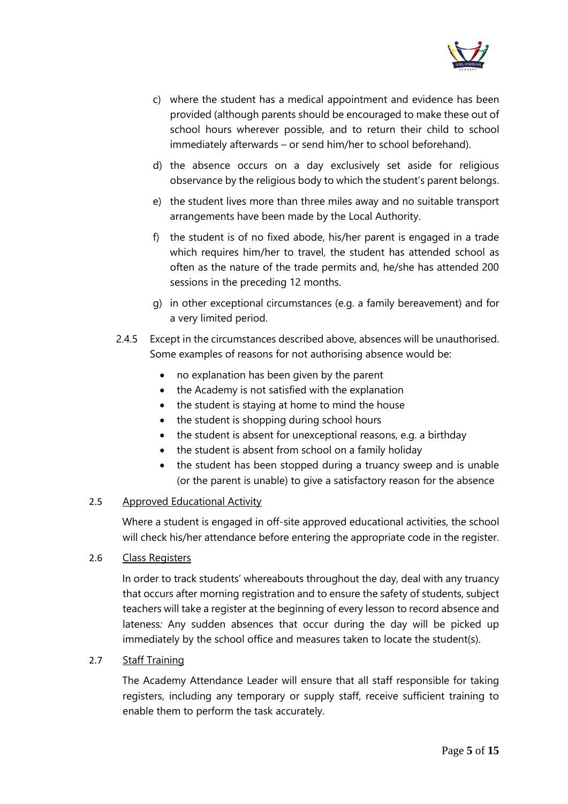

- c) where the student has a medical appointment and evidence has been provided (although parents should be encouraged to make these out of school hours wherever possible, and to return their child to school immediately afterwards – or send him/her to school beforehand).
- d) the absence occurs on a day exclusively set aside for religious observance by the religious body to which the student's parent belongs.
- e) the student lives more than three miles away and no suitable transport arrangements have been made by the Local Authority.
- f) the student is of no fixed abode, his/her parent is engaged in a trade which requires him/her to travel, the student has attended school as often as the nature of the trade permits and, he/she has attended 200 sessions in the preceding 12 months.
- g) in other exceptional circumstances (e.g. a family bereavement) and for a very limited period.
- 2.4.5 Except in the circumstances described above, absences will be unauthorised. Some examples of reasons for not authorising absence would be:
	- no explanation has been given by the parent
	- the Academy is not satisfied with the explanation
	- the student is staying at home to mind the house
	- the student is shopping during school hours
	- the student is absent for unexceptional reasons, e.g. a birthday
	- the student is absent from school on a family holiday
	- the student has been stopped during a truancy sweep and is unable (or the parent is unable) to give a satisfactory reason for the absence

#### 2.5 Approved Educational Activity

Where a student is engaged in off-site approved educational activities, the school will check his/her attendance before entering the appropriate code in the register.

#### 2.6 Class Registers

In order to track students' whereabouts throughout the day, deal with any truancy that occurs after morning registration and to ensure the safety of students, subject teachers will take a register at the beginning of every lesson to record absence and lateness*:* Any sudden absences that occur during the day will be picked up immediately by the school office and measures taken to locate the student(s).

#### 2.7 Staff Training

The Academy Attendance Leader will ensure that all staff responsible for taking registers, including any temporary or supply staff, receive sufficient training to enable them to perform the task accurately.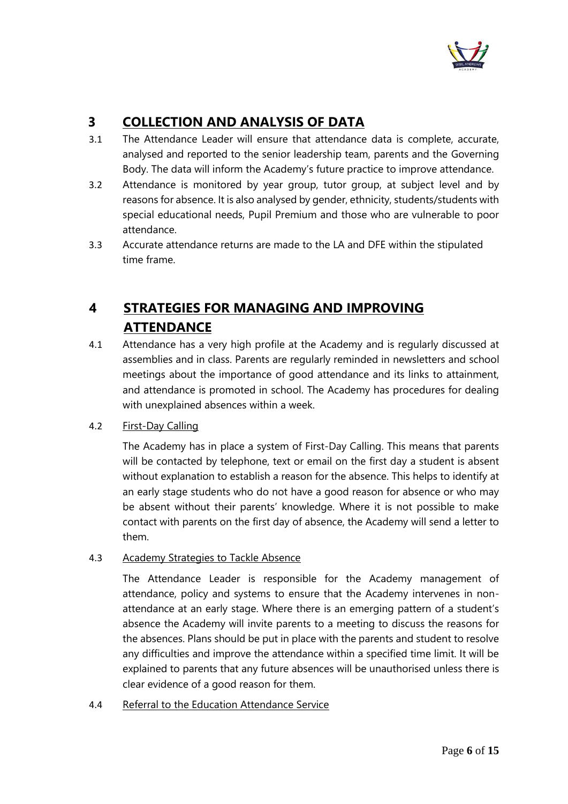

# **3 COLLECTION AND ANALYSIS OF DATA**

- 3.1 The Attendance Leader will ensure that attendance data is complete, accurate, analysed and reported to the senior leadership team, parents and the Governing Body. The data will inform the Academy's future practice to improve attendance.
- 3.2 Attendance is monitored by year group, tutor group, at subject level and by reasons for absence. It is also analysed by gender, ethnicity, students/students with special educational needs, Pupil Premium and those who are vulnerable to poor attendance.
- 3.3 Accurate attendance returns are made to the LA and DFE within the stipulated time frame.

# **4 STRATEGIES FOR MANAGING AND IMPROVING ATTENDANCE**

4.1 Attendance has a very high profile at the Academy and is regularly discussed at assemblies and in class. Parents are regularly reminded in newsletters and school meetings about the importance of good attendance and its links to attainment, and attendance is promoted in school. The Academy has procedures for dealing with unexplained absences within a week.

#### 4.2 First-Day Calling

The Academy has in place a system of First-Day Calling. This means that parents will be contacted by telephone, text or email on the first day a student is absent without explanation to establish a reason for the absence. This helps to identify at an early stage students who do not have a good reason for absence or who may be absent without their parents' knowledge. Where it is not possible to make contact with parents on the first day of absence, the Academy will send a letter to them.

#### <span id="page-5-0"></span>4.3 Academy Strategies to Tackle Absence

The Attendance Leader is responsible for the Academy management of attendance, policy and systems to ensure that the Academy intervenes in nonattendance at an early stage. Where there is an emerging pattern of a student's absence the Academy will invite parents to a meeting to discuss the reasons for the absences. Plans should be put in place with the parents and student to resolve any difficulties and improve the attendance within a specified time limit. It will be explained to parents that any future absences will be unauthorised unless there is clear evidence of a good reason for them.

#### 4.4 Referral to the Education Attendance Service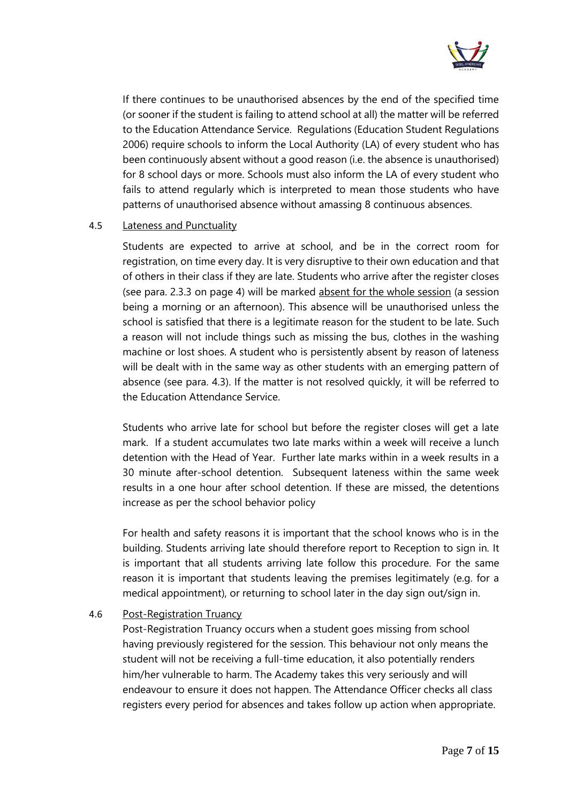

If there continues to be unauthorised absences by the end of the specified time (or sooner if the student is failing to attend school at all) the matter will be referred to the Education Attendance Service. Regulations (Education Student Regulations 2006) require schools to inform the Local Authority (LA) of every student who has been continuously absent without a good reason (i.e. the absence is unauthorised) for 8 school days or more. Schools must also inform the LA of every student who fails to attend regularly which is interpreted to mean those students who have patterns of unauthorised absence without amassing 8 continuous absences.

#### <span id="page-6-0"></span>4.5 Lateness and Punctuality

Students are expected to arrive at school, and be in the correct room for registration, on time every day. It is very disruptive to their own education and that of others in their class if they are late. Students who arrive after the register closes (see para. [2.3.3](#page-3-0) on page [4\)](#page-3-0) will be marked absent for the whole session (a session being a morning or an afternoon). This absence will be unauthorised unless the school is satisfied that there is a legitimate reason for the student to be late. Such a reason will not include things such as missing the bus, clothes in the washing machine or lost shoes. A student who is persistently absent by reason of lateness will be dealt with in the same way as other students with an emerging pattern of absence (see para. [4.3\)](#page-5-0). If the matter is not resolved quickly, it will be referred to the Education Attendance Service.

Students who arrive late for school but before the register closes will get a late mark. If a student accumulates two late marks within a week will receive a lunch detention with the Head of Year. Further late marks within in a week results in a 30 minute after-school detention. Subsequent lateness within the same week results in a one hour after school detention. If these are missed, the detentions increase as per the school behavior policy

For health and safety reasons it is important that the school knows who is in the building. Students arriving late should therefore report to Reception to sign in*.* It is important that all students arriving late follow this procedure. For the same reason it is important that students leaving the premises legitimately (e.g. for a medical appointment), or returning to school later in the day sign out/sign in.

#### 4.6 Post-Registration Truancy

Post-Registration Truancy occurs when a student goes missing from school having previously registered for the session. This behaviour not only means the student will not be receiving a full-time education, it also potentially renders him/her vulnerable to harm. The Academy takes this very seriously and will endeavour to ensure it does not happen. The Attendance Officer checks all class registers every period for absences and takes follow up action when appropriate.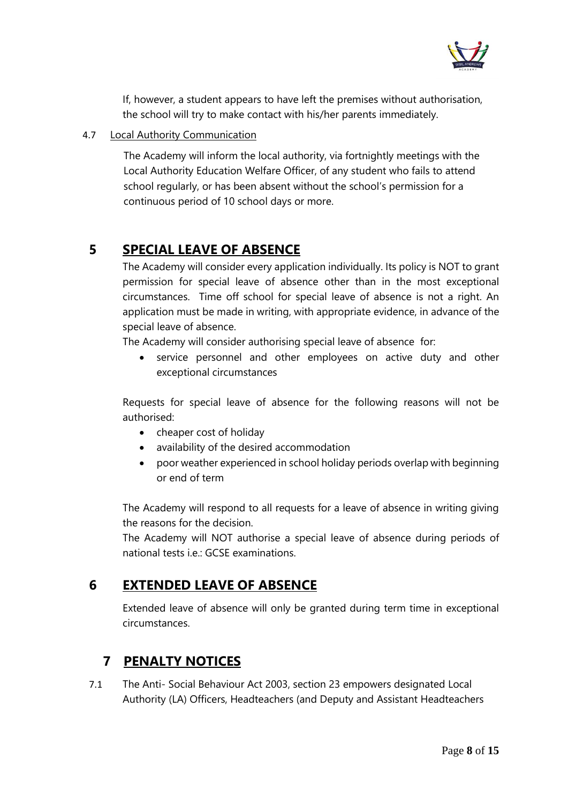

If, however, a student appears to have left the premises without authorisation, the school will try to make contact with his/her parents immediately.

#### 4.7 Local Authority Communication

The Academy will inform the local authority, via fortnightly meetings with the Local Authority Education Welfare Officer, of any student who fails to attend school regularly, or has been absent without the school's permission for a continuous period of 10 school days or more.

# **5 SPECIAL LEAVE OF ABSENCE**

The Academy will consider every application individually. Its policy is NOT to grant permission for special leave of absence other than in the most exceptional circumstances. Time off school for special leave of absence is not a right. An application must be made in writing, with appropriate evidence, in advance of the special leave of absence.

The Academy will consider authorising special leave of absence for:

• service personnel and other employees on active duty and other exceptional circumstances

Requests for special leave of absence for the following reasons will not be authorised:

- cheaper cost of holiday
- availability of the desired accommodation
- poor weather experienced in school holiday periods overlap with beginning or end of term

The Academy will respond to all requests for a leave of absence in writing giving the reasons for the decision.

The Academy will NOT authorise a special leave of absence during periods of national tests i.e.: GCSE examinations.

## **6 EXTENDED LEAVE OF ABSENCE**

Extended leave of absence will only be granted during term time in exceptional circumstances.

## **7 PENALTY NOTICES**

7.1 The Anti- Social Behaviour Act 2003, section 23 empowers designated Local Authority (LA) Officers, Headteachers (and Deputy and Assistant Headteachers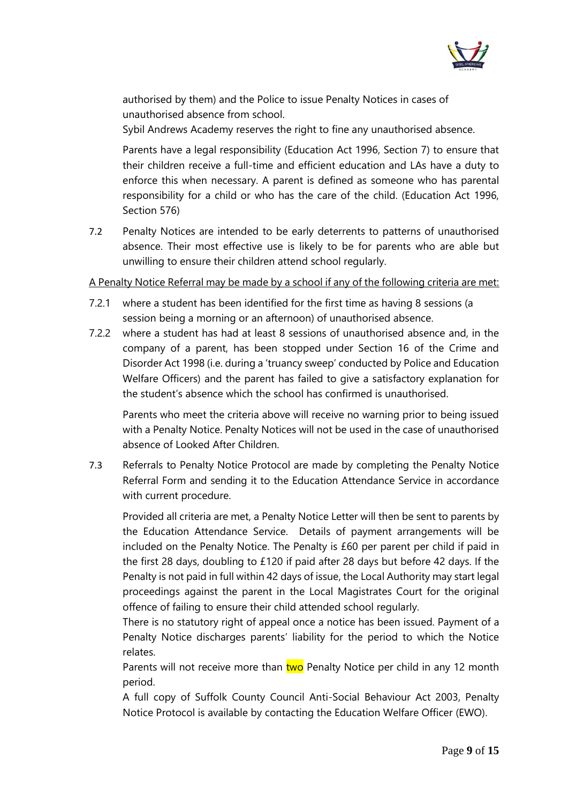

authorised by them) and the Police to issue Penalty Notices in cases of unauthorised absence from school.

Sybil Andrews Academy reserves the right to fine any unauthorised absence.

Parents have a legal responsibility (Education Act 1996, Section 7) to ensure that their children receive a full-time and efficient education and LAs have a duty to enforce this when necessary. A parent is defined as someone who has parental responsibility for a child or who has the care of the child. (Education Act 1996, Section 576)

7.2 Penalty Notices are intended to be early deterrents to patterns of unauthorised absence. Their most effective use is likely to be for parents who are able but unwilling to ensure their children attend school regularly.

#### A Penalty Notice Referral may be made by a school if any of the following criteria are met:

- 7.2.1 where a student has been identified for the first time as having 8 sessions (a session being a morning or an afternoon) of unauthorised absence.
- 7.2.2 where a student has had at least 8 sessions of unauthorised absence and, in the company of a parent, has been stopped under Section 16 of the Crime and Disorder Act 1998 (i.e. during a 'truancy sweep' conducted by Police and Education Welfare Officers) and the parent has failed to give a satisfactory explanation for the student's absence which the school has confirmed is unauthorised.

Parents who meet the criteria above will receive no warning prior to being issued with a Penalty Notice. Penalty Notices will not be used in the case of unauthorised absence of Looked After Children.

7.3 Referrals to Penalty Notice Protocol are made by completing the Penalty Notice Referral Form and sending it to the Education Attendance Service in accordance with current procedure.

Provided all criteria are met, a Penalty Notice Letter will then be sent to parents by the Education Attendance Service. Details of payment arrangements will be included on the Penalty Notice. The Penalty is £60 per parent per child if paid in the first 28 days, doubling to £120 if paid after 28 days but before 42 days. If the Penalty is not paid in full within 42 days of issue, the Local Authority may start legal proceedings against the parent in the Local Magistrates Court for the original offence of failing to ensure their child attended school regularly.

There is no statutory right of appeal once a notice has been issued. Payment of a Penalty Notice discharges parents' liability for the period to which the Notice relates.

Parents will not receive more than two Penalty Notice per child in any 12 month period.

A full copy of Suffolk County Council Anti-Social Behaviour Act 2003, Penalty Notice Protocol is available by contacting the Education Welfare Officer (EWO).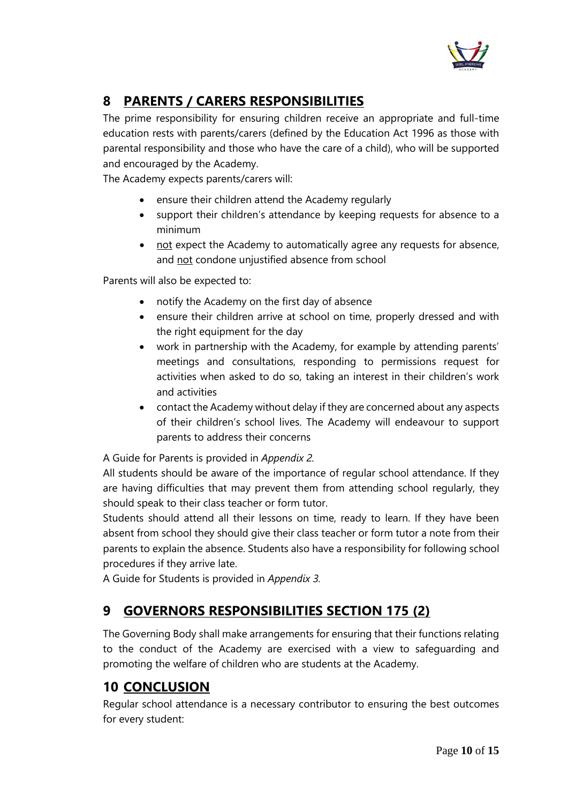

# **8 PARENTS / CARERS RESPONSIBILITIES**

The prime responsibility for ensuring children receive an appropriate and full-time education rests with parents/carers (defined by the Education Act 1996 as those with parental responsibility and those who have the care of a child), who will be supported and encouraged by the Academy.

The Academy expects parents/carers will:

- ensure their children attend the Academy regularly
- support their children's attendance by keeping requests for absence to a minimum
- not expect the Academy to automatically agree any requests for absence, and not condone unjustified absence from school

Parents will also be expected to:

- notify the Academy on the first day of absence
- ensure their children arrive at school on time, properly dressed and with the right equipment for the day
- work in partnership with the Academy, for example by attending parents' meetings and consultations, responding to permissions request for activities when asked to do so, taking an interest in their children's work and activities
- contact the Academy without delay if they are concerned about any aspects of their children's school lives. The Academy will endeavour to support parents to address their concerns

A Guide for Parents is provided in *Appendix 2.* 

All students should be aware of the importance of regular school attendance. If they are having difficulties that may prevent them from attending school regularly, they should speak to their class teacher or form tutor.

Students should attend all their lessons on time, ready to learn. If they have been absent from school they should give their class teacher or form tutor a note from their parents to explain the absence. Students also have a responsibility for following school procedures if they arrive late.

A Guide for Students is provided in *Appendix 3.*

## **9 GOVERNORS RESPONSIBILITIES SECTION 175 (2)**

The Governing Body shall make arrangements for ensuring that their functions relating to the conduct of the Academy are exercised with a view to safeguarding and promoting the welfare of children who are students at the Academy.

## **10 CONCLUSION**

Regular school attendance is a necessary contributor to ensuring the best outcomes for every student: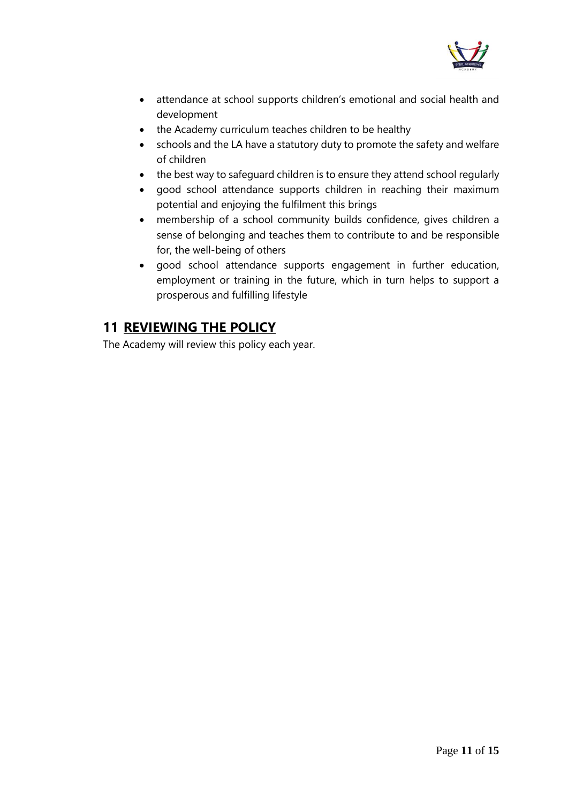

- attendance at school supports children's emotional and social health and development
- the Academy curriculum teaches children to be healthy
- schools and the LA have a statutory duty to promote the safety and welfare of children
- the best way to safeguard children is to ensure they attend school regularly
- good school attendance supports children in reaching their maximum potential and enjoying the fulfilment this brings
- membership of a school community builds confidence, gives children a sense of belonging and teaches them to contribute to and be responsible for, the well-being of others
- good school attendance supports engagement in further education, employment or training in the future, which in turn helps to support a prosperous and fulfilling lifestyle

# **11 REVIEWING THE POLICY**

The Academy will review this policy each year.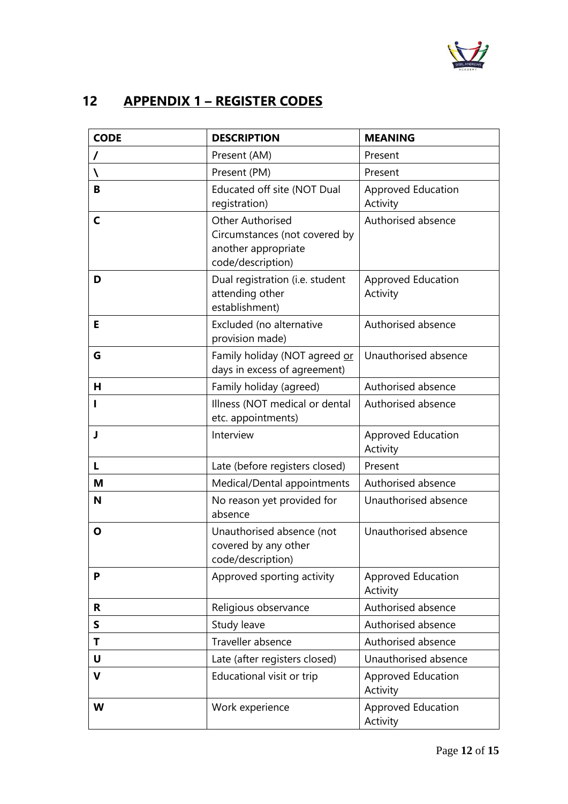

# **12 APPENDIX 1 – REGISTER CODES**

| <b>CODE</b> | <b>DESCRIPTION</b>                                                                                   | <b>MEANING</b>                        |
|-------------|------------------------------------------------------------------------------------------------------|---------------------------------------|
|             | Present (AM)                                                                                         | Present                               |
| N           | Present (PM)                                                                                         | Present                               |
| B           | Educated off site (NOT Dual<br>registration)                                                         | <b>Approved Education</b><br>Activity |
| C           | <b>Other Authorised</b><br>Circumstances (not covered by<br>another appropriate<br>code/description) | Authorised absence                    |
| D           | Dual registration (i.e. student<br>attending other<br>establishment)                                 | <b>Approved Education</b><br>Activity |
| E           | Excluded (no alternative<br>provision made)                                                          | Authorised absence                    |
| G           | Family holiday (NOT agreed or<br>days in excess of agreement)                                        | Unauthorised absence                  |
| н           | Family holiday (agreed)                                                                              | Authorised absence                    |
|             | Illness (NOT medical or dental<br>etc. appointments)                                                 | Authorised absence                    |
| J           | Interview                                                                                            | Approved Education<br>Activity        |
| L           | Late (before registers closed)                                                                       | Present                               |
| М           | Medical/Dental appointments                                                                          | Authorised absence                    |
| N           | No reason yet provided for<br>absence                                                                | Unauthorised absence                  |
| Ο           | Unauthorised absence (not<br>covered by any other<br>code/description)                               | Unauthorised absence                  |
| P           | Approved sporting activity                                                                           | Approved Education<br>Activity        |
| R.          | Religious observance                                                                                 | Authorised absence                    |
| S           | Study leave                                                                                          | Authorised absence                    |
| Т           | Traveller absence                                                                                    | Authorised absence                    |
| U           | Late (after registers closed)                                                                        | Unauthorised absence                  |
| $\mathbf v$ | Educational visit or trip                                                                            | <b>Approved Education</b><br>Activity |
| W           | Work experience                                                                                      | <b>Approved Education</b><br>Activity |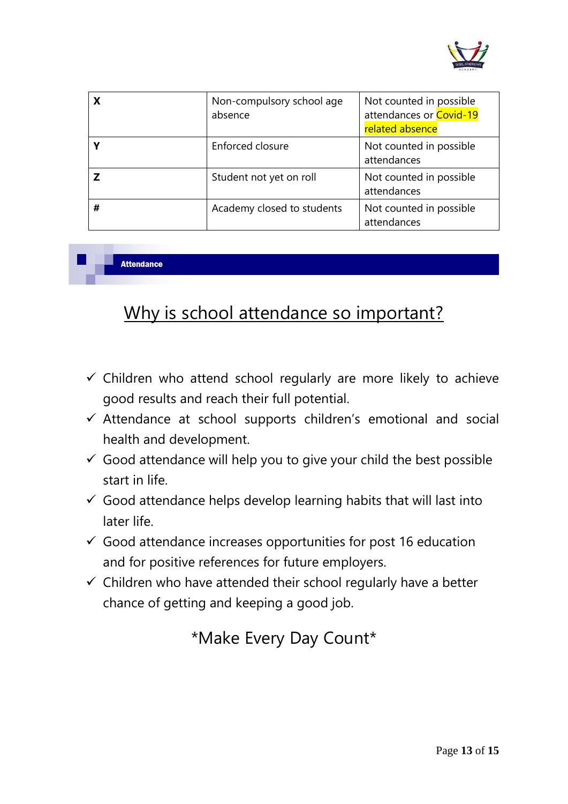

| x | Non-compulsory school age<br>absence | Not counted in possible<br>attendances or Covid-19<br>related absence |
|---|--------------------------------------|-----------------------------------------------------------------------|
|   | Enforced closure                     | Not counted in possible<br>attendances                                |
|   | Student not yet on roll              | Not counted in possible<br>attendances                                |
| # | Academy closed to students           | Not counted in possible<br>attendances                                |

**Attendance** 

# Why is school attendance so important?

- $\checkmark$  Children who attend school regularly are more likely to achieve good results and reach their full potential.
- ✓ Attendance at school supports children's emotional and social health and development.
- $\checkmark$  Good attendance will help you to give your child the best possible start in life.
- $\checkmark$  Good attendance helps develop learning habits that will last into later life.
- $\checkmark$  Good attendance increases opportunities for post 16 education and for positive references for future employers.
- $\checkmark$  Children who have attended their school regularly have a better chance of getting and keeping a good job.

# \*Make Every Day Count\*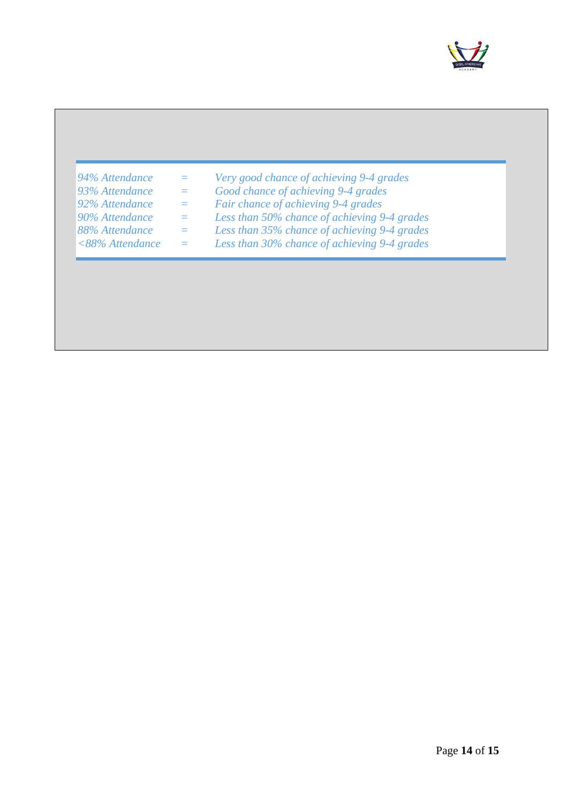

# *94% Attendance = Very good chance of achieving 9-4 grades 93% Attendance = Good chance of achieving 9-4 grades 92% Attendance = Fair chance of achieving 9-4 grades 90% Attendance = Less than 50% chance of achieving 9-4 grades 88% Attendance = Less than 35% chance of achieving 9-4 grades <88% Attendance = Less than 30% chance of achieving 9-4 grades*